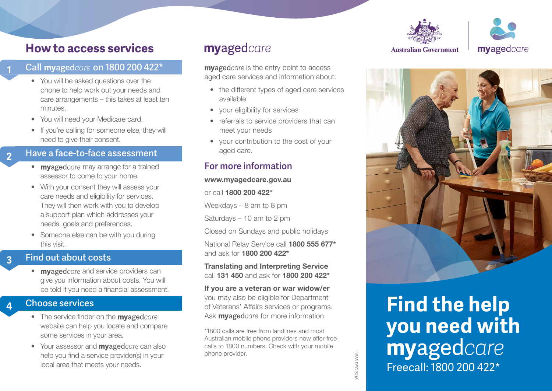

# **How to access services**

### **Call myagedcare on 1800 200 422\***

**1**

**2**

**3**

- You will be asked questions over the phone to help work out your needs and care arrangements – this takes at least ten minutes.
- You will need your Medicare card.
- If you're calling for someone else, they will need to give their consent.

### **Have a face-to-face assessment**

- myagedcare may arrange for a trained assessor to come to your home.
- With your consent they will assess your care needs and eligibility for services. They will then work with you to develop a support plan which addresses your needs, goals and preferences.
- Someone else can be with you during this visit.

### **Find out about costs**

• myagedcare and service providers can give you information about costs. You will be told if you need a financial assessment.

### **Choose services**

- The service finder on the **myaged** care website can help you locate and compare some services in your area.
- Your assessor and  $m$ vaged *care* can also help you find a service provider(s) in your local area that meets your needs.

# myagedcare

**myaged** *care* is the entry point to access aged care services and information about:

- the different types of aged care services available
- your eligibility for services
- referrals to service providers that can meet your needs
- your contribution to the cost of your aged care.

### **For more information**

### **www.myagedcare.gov.au**

or call **1800 200 422\*** 

Weekdays – 8 am to 8 pm

Saturdays – 10 am to 2 pm

Closed on Sundays and public holidays

National Relay Service call **1800 555 677\*** and ask for **1800 200 422\***

**Translating and Interpreting Service** call **131 450** and ask for **1800 200 422\***

**If you are a veteran or war widow/er** you may also be eligible for Department of Veterans' Affairs services or programs. Ask **myaged** *care* for more information. **4 Choose services of Veterans' Affairs services or programs.** 

> \*1800 calls are free from landlines and most Australian mobile phone providers now offer free calls to 1800 numbers. Check with your mobile phone provider.

#### **Australian Government**



**you need with**  Freecall: 1800 200 422\*